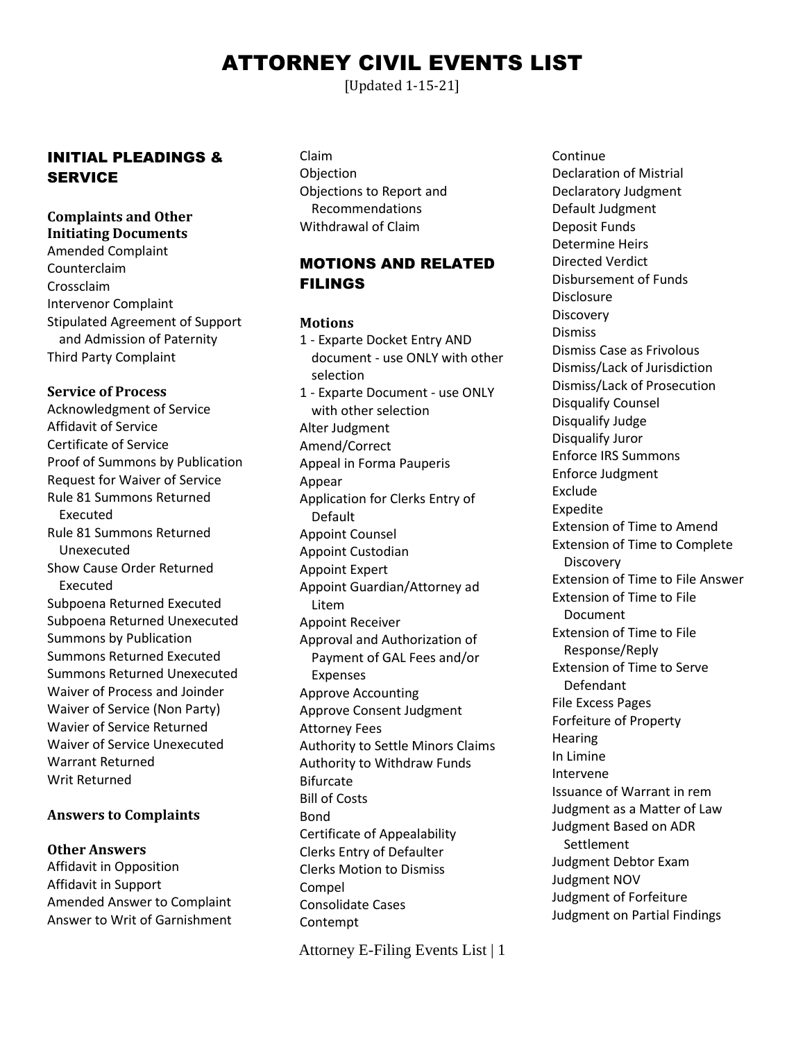# ATTORNEY CIVIL EVENTS LIST

[Updated 1-15-21]

## INITIAL PLEADINGS & **SERVICE**

#### **Complaints and Other Initiating Documents**

Amended Complaint Counterclaim Crossclaim Intervenor Complaint Stipulated Agreement of Support and Admission of Paternity Third Party Complaint

# **Service of Process**

Acknowledgment of Service Affidavit of Service Certificate of Service Proof of Summons by Publication Request for Waiver of Service Rule 81 Summons Returned Executed Rule 81 Summons Returned Unexecuted Show Cause Order Returned Executed Subpoena Returned Executed Subpoena Returned Unexecuted Summons by Publication Summons Returned Executed Summons Returned Unexecuted Waiver of Process and Joinder Waiver of Service (Non Party) Wavier of Service Returned Waiver of Service Unexecuted Warrant Returned Writ Returned

### **Answers to Complaints**

### **Other Answers**

Affidavit in Opposition Affidavit in Support Amended Answer to Complaint Answer to Writ of Garnishment Claim Objection Objections to Report and Recommendations Withdrawal of Claim

## MOTIONS AND RELATED FILINGS

#### **Motions**

1 - Exparte Docket Entry AND document - use ONLY with other selection 1 - Exparte Document - use ONLY with other selection Alter Judgment Amend/Correct Appeal in Forma Pauperis Appear Application for Clerks Entry of Default Appoint Counsel Appoint Custodian Appoint Expert Appoint Guardian/Attorney ad Litem Appoint Receiver Approval and Authorization of Payment of GAL Fees and/or Expenses Approve Accounting Approve Consent Judgment Attorney Fees Authority to Settle Minors Claims Authority to Withdraw Funds Bifurcate Bill of Costs Bond Certificate of Appealability Clerks Entry of Defaulter Clerks Motion to Dismiss Compel Consolidate Cases Contempt

Attorney E-Filing Events List | 1

**Continue** Declaration of Mistrial Declaratory Judgment Default Judgment Deposit Funds Determine Heirs Directed Verdict Disbursement of Funds Disclosure **Discovery Dismiss** Dismiss Case as Frivolous Dismiss/Lack of Jurisdiction Dismiss/Lack of Prosecution Disqualify Counsel Disqualify Judge Disqualify Juror Enforce IRS Summons Enforce Judgment Exclude Expedite Extension of Time to Amend Extension of Time to Complete **Discovery** Extension of Time to File Answer Extension of Time to File Document Extension of Time to File Response/Reply Extension of Time to Serve Defendant File Excess Pages Forfeiture of Property **Hearing** In Limine Intervene Issuance of Warrant in rem Judgment as a Matter of Law Judgment Based on ADR **Settlement** Judgment Debtor Exam Judgment NOV Judgment of Forfeiture Judgment on Partial Findings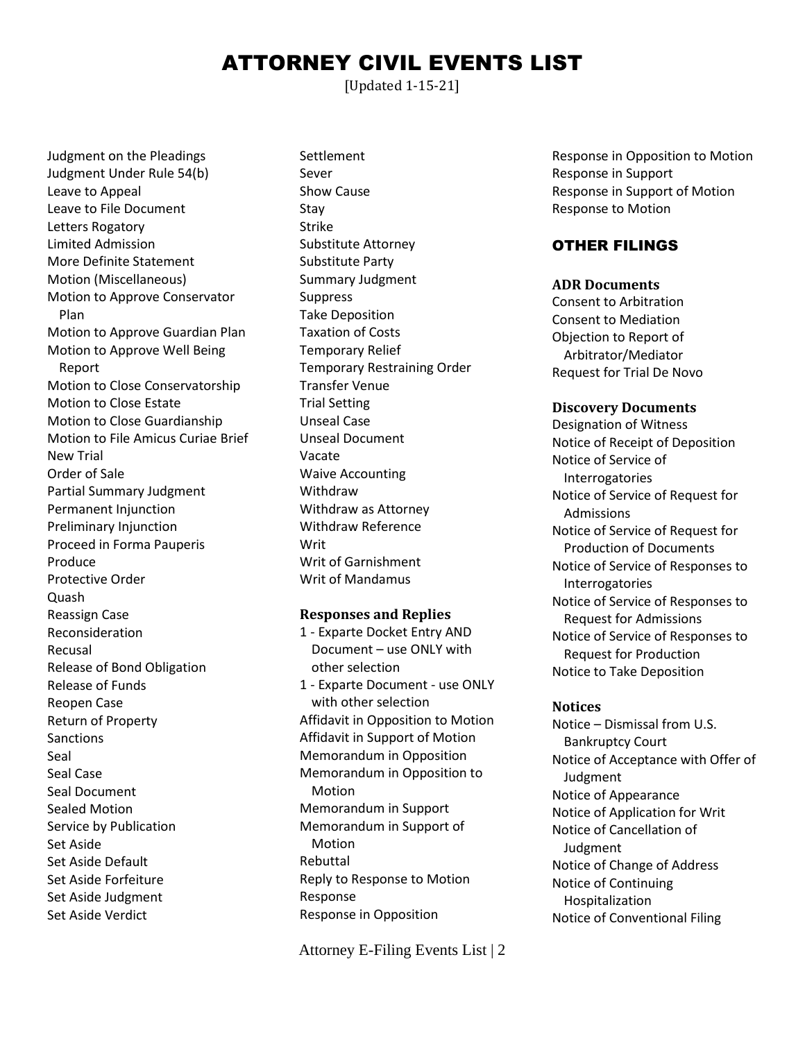# ATTORNEY CIVIL EVENTS LIST

[Updated 1-15-21]

Judgment on the Pleadings Judgment Under Rule 54(b) Leave to Appeal Leave to File Document Letters Rogatory Limited Admission More Definite Statement Motion (Miscellaneous) Motion to Approve Conservator Plan Motion to Approve Guardian Plan Motion to Approve Well Being Report Motion to Close Conservatorship Motion to Close Estate Motion to Close Guardianship Motion to File Amicus Curiae Brief New Trial Order of Sale Partial Summary Judgment Permanent Injunction Preliminary Injunction Proceed in Forma Pauperis Produce Protective Order Quash Reassign Case Reconsideration Recusal Release of Bond Obligation Release of Funds Reopen Case Return of Property Sanctions Seal Seal Case Seal Document Sealed Motion Service by Publication Set Aside Set Aside Default Set Aside Forfeiture Set Aside Judgment Set Aside Verdict

Settlement Sever Show Cause Stay Strike Substitute Attorney Substitute Party Summary Judgment Suppress Take Deposition Taxation of Costs Temporary Relief Temporary Restraining Order Transfer Venue Trial Setting Unseal Case Unseal Document Vacate Waive Accounting Withdraw Withdraw as Attorney Withdraw Reference **Writ** Writ of Garnishment Writ of Mandamus

#### **Responses and Replies**

1 - Exparte Docket Entry AND Document – use ONLY with other selection 1 - Exparte Document - use ONLY with other selection Affidavit in Opposition to Motion Affidavit in Support of Motion Memorandum in Opposition Memorandum in Opposition to Motion Memorandum in Support Memorandum in Support of Motion Rebuttal Reply to Response to Motion Response Response in Opposition

Attorney E-Filing Events List | 2

Response in Opposition to Motion Response in Support Response in Support of Motion Response to Motion

## OTHER FILINGS

#### **ADR Documents**

Consent to Arbitration Consent to Mediation Objection to Report of Arbitrator/Mediator Request for Trial De Novo

#### **Discovery Documents**

Designation of Witness Notice of Receipt of Deposition Notice of Service of Interrogatories Notice of Service of Request for Admissions Notice of Service of Request for Production of Documents Notice of Service of Responses to Interrogatories Notice of Service of Responses to Request for Admissions Notice of Service of Responses to Request for Production Notice to Take Deposition

#### **Notices**

Notice – Dismissal from U.S. Bankruptcy Court Notice of Acceptance with Offer of Judgment Notice of Appearance Notice of Application for Writ Notice of Cancellation of Judgment Notice of Change of Address Notice of Continuing Hospitalization Notice of Conventional Filing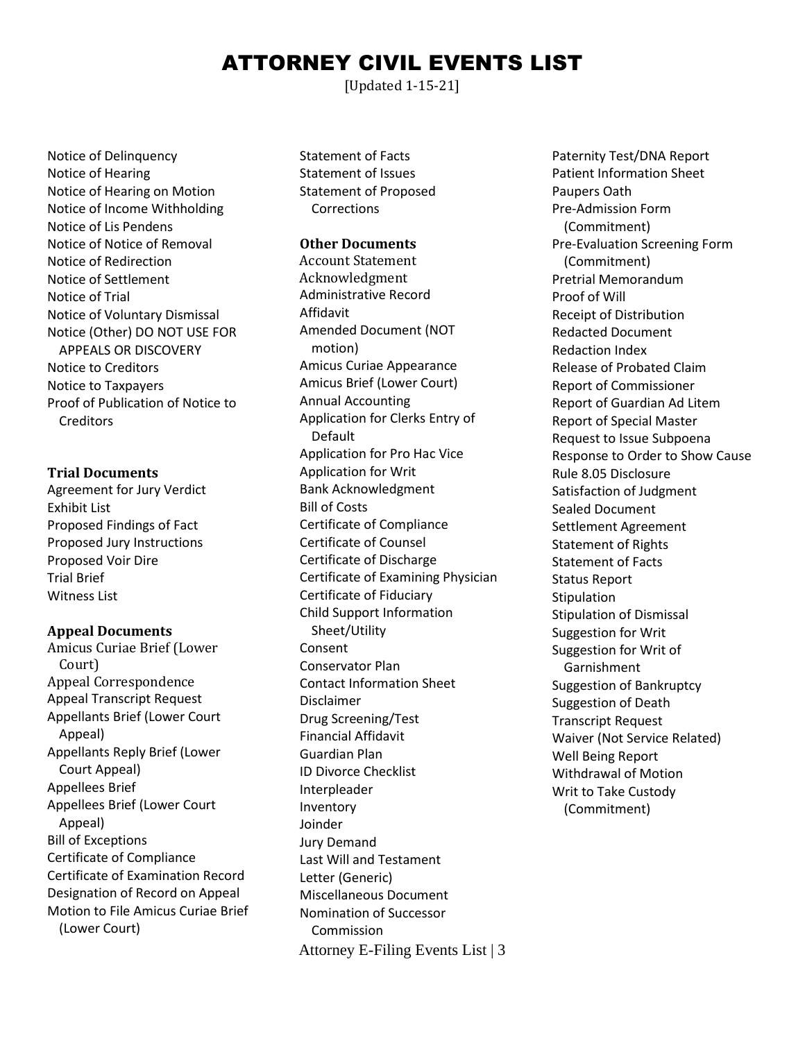# ATTORNEY CIVIL EVENTS LIST

[Updated 1-15-21]

Notice of Delinquency Notice of Hearing Notice of Hearing on Motion Notice of Income Withholding Notice of Lis Pendens Notice of Notice of Removal Notice of Redirection Notice of Settlement Notice of Trial Notice of Voluntary Dismissal Notice (Other) DO NOT USE FOR APPEALS OR DISCOVERY Notice to Creditors Notice to Taxpayers Proof of Publication of Notice to **Creditors** 

#### **Trial Documents**

Agreement for Jury Verdict Exhibit List Proposed Findings of Fact Proposed Jury Instructions Proposed Voir Dire Trial Brief Witness List

#### **Appeal Documents**

Amicus Curiae Brief (Lower Court) Appeal Correspondence Appeal Transcript Request Appellants Brief (Lower Court Appeal) Appellants Reply Brief (Lower Court Appeal) Appellees Brief Appellees Brief (Lower Court Appeal) Bill of Exceptions Certificate of Compliance Certificate of Examination Record Designation of Record on Appeal Motion to File Amicus Curiae Brief (Lower Court)

Statement of Facts Statement of Issues Statement of Proposed Corrections

#### **Other Documents**

Attorney E-Filing Events List | 3 Account Statement Acknowledgment Administrative Record Affidavit Amended Document (NOT motion) Amicus Curiae Appearance Amicus Brief (Lower Court) Annual Accounting Application for Clerks Entry of Default Application for Pro Hac Vice Application for Writ Bank Acknowledgment Bill of Costs Certificate of Compliance Certificate of Counsel Certificate of Discharge Certificate of Examining Physician Certificate of Fiduciary Child Support Information Sheet/Utility Consent Conservator Plan Contact Information Sheet Disclaimer Drug Screening/Test Financial Affidavit Guardian Plan ID Divorce Checklist Interpleader Inventory Joinder Jury Demand Last Will and Testament Letter (Generic) Miscellaneous Document Nomination of Successor Commission

Paternity Test/DNA Report Patient Information Sheet Paupers Oath Pre-Admission Form (Commitment) Pre-Evaluation Screening Form (Commitment) Pretrial Memorandum Proof of Will Receipt of Distribution Redacted Document Redaction Index Release of Probated Claim Report of Commissioner Report of Guardian Ad Litem Report of Special Master Request to Issue Subpoena Response to Order to Show Cause Rule 8.05 Disclosure Satisfaction of Judgment Sealed Document Settlement Agreement Statement of Rights Statement of Facts Status Report **Stipulation** Stipulation of Dismissal Suggestion for Writ Suggestion for Writ of Garnishment Suggestion of Bankruptcy Suggestion of Death Transcript Request Waiver (Not Service Related) Well Being Report Withdrawal of Motion Writ to Take Custody (Commitment)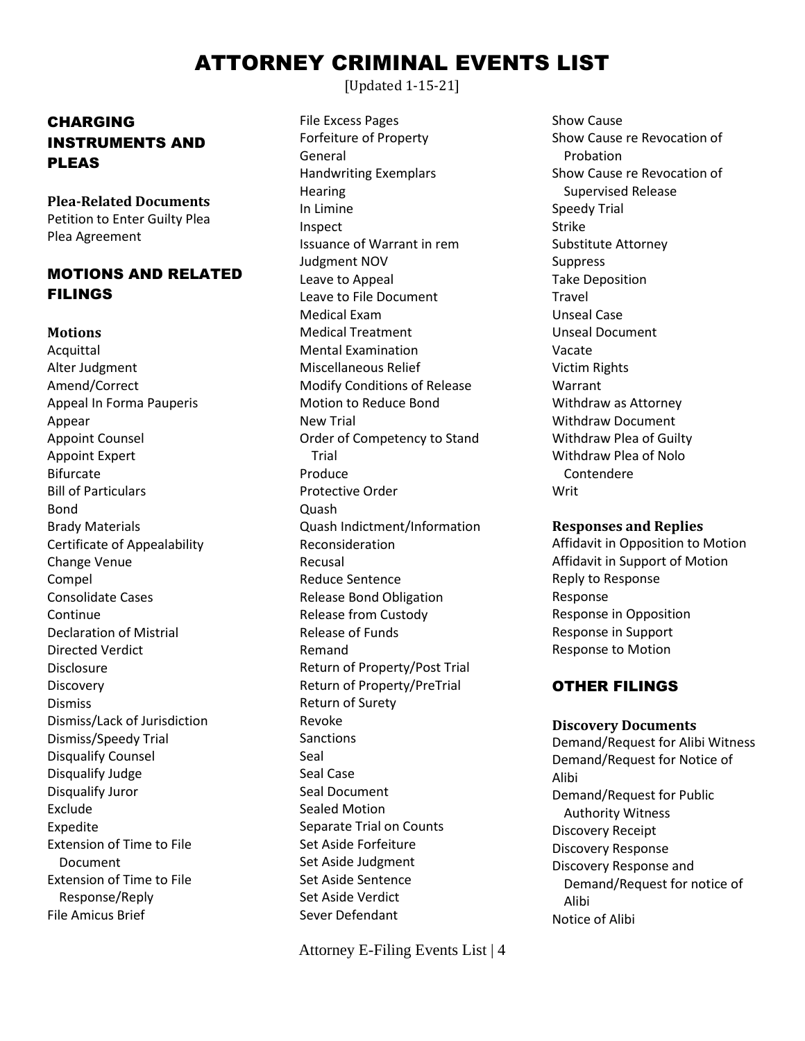# ATTORNEY CRIMINAL EVENTS LIST

[Updated 1-15-21]

CHARGING INSTRUMENTS AND PLEAS

**Plea-Related Documents** Petition to Enter Guilty Plea Plea Agreement

# MOTIONS AND RELATED FILINGS

### **Motions**

**Acquittal** Alter Judgment Amend/Correct Appeal In Forma Pauperis Appear Appoint Counsel Appoint Expert Bifurcate Bill of Particulars Bond Brady Materials Certificate of Appealability Change Venue Compel Consolidate Cases Continue Declaration of Mistrial Directed Verdict Disclosure Discovery Dismiss Dismiss/Lack of Jurisdiction Dismiss/Speedy Trial Disqualify Counsel Disqualify Judge Disqualify Juror Exclude Expedite Extension of Time to File Document Extension of Time to File Response/Reply File Amicus Brief

File Excess Pages Forfeiture of Property General Handwriting Exemplars Hearing In Limine Inspect Issuance of Warrant in rem Judgment NOV Leave to Appeal Leave to File Document Medical Exam Medical Treatment Mental Examination Miscellaneous Relief Modify Conditions of Release Motion to Reduce Bond New Trial Order of Competency to Stand Trial Produce Protective Order Quash Quash Indictment/Information Reconsideration Recusal Reduce Sentence Release Bond Obligation Release from Custody Release of Funds Remand Return of Property/Post Trial Return of Property/PreTrial Return of Surety Revoke Sanctions Seal Seal Case Seal Document Sealed Motion Separate Trial on Counts Set Aside Forfeiture Set Aside Judgment Set Aside Sentence Set Aside Verdict Sever Defendant

Attorney E-Filing Events List | 4

Show Cause Show Cause re Revocation of Probation Show Cause re Revocation of Supervised Release Speedy Trial Strike Substitute Attorney **Suppress** Take Deposition Travel Unseal Case Unseal Document Vacate Victim Rights Warrant Withdraw as Attorney Withdraw Document Withdraw Plea of Guilty Withdraw Plea of Nolo Contendere Writ

#### **Responses and Replies**

Affidavit in Opposition to Motion Affidavit in Support of Motion Reply to Response Response Response in Opposition Response in Support Response to Motion

## OTHER FILINGS

#### **Discovery Documents** Demand/Request for Alibi Witness

Demand/Request for Notice of Alibi Demand/Request for Public Authority Witness Discovery Receipt Discovery Response Discovery Response and Demand/Request for notice of Alibi Notice of Alibi